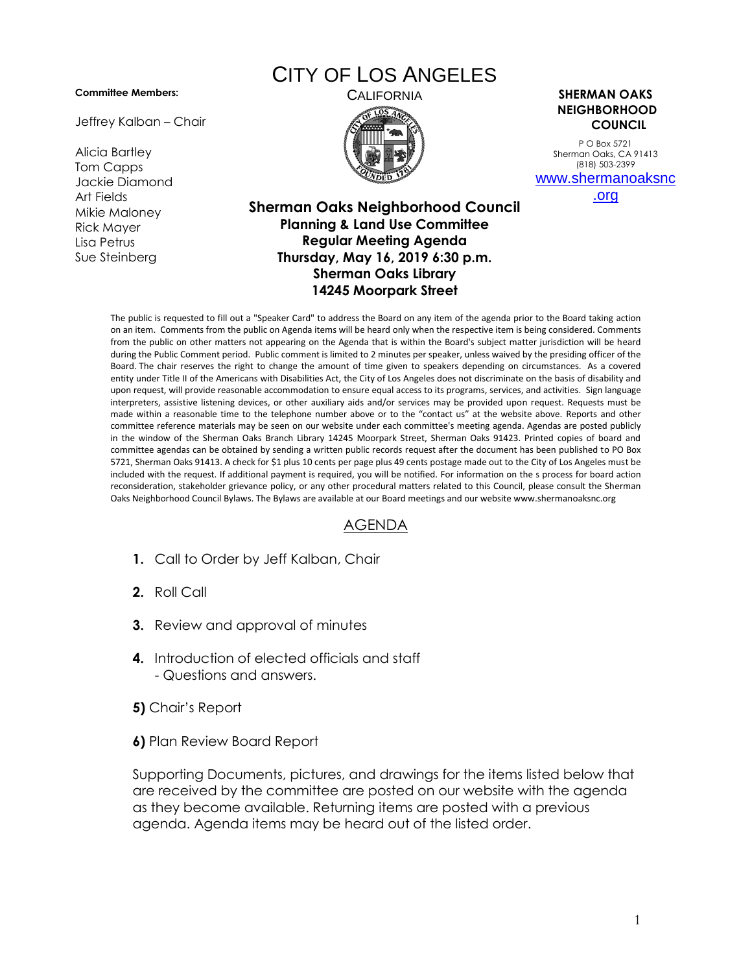## **Committee Members:**

Jeffrey Kalban – Chair

Alicia Bartley Tom Capps Jackie Diamond Art Fields Mikie Maloney Rick Mayer Lisa Petrus Sue Steinberg

## CITY OF LOS ANGELES



CALIFORNIA **SHERMAN OAKS NEIGHBORHOOD COUNCIL**

> P O Box 5721 Sherman Oaks, CA 91413 (818) 503-2399 [www.shermanoaksnc](http://www.shermanoaksnc.org/)

> > [.org](http://www.shermanoaksnc.org/)

## **Sherman Oaks Neighborhood Council Planning & Land Use Committee Regular Meeting Agenda Thursday, May 16, 2019 6:30 p.m. Sherman Oaks Library 14245 Moorpark Street**

The public is requested to fill out a "Speaker Card" to address the Board on any item of the agenda prior to the Board taking action on an item. Comments from the public on Agenda items will be heard only when the respective item is being considered. Comments from the public on other matters not appearing on the Agenda that is within the Board's subject matter jurisdiction will be heard during the Public Comment period. Public comment is limited to 2 minutes per speaker, unless waived by the presiding officer of the Board. The chair reserves the right to change the amount of time given to speakers depending on circumstances. As a covered entity under Title II of the Americans with Disabilities Act, the City of Los Angeles does not discriminate on the basis of disability and upon request, will provide reasonable accommodation to ensure equal access to its programs, services, and activities. Sign language interpreters, assistive listening devices, or other auxiliary aids and/or services may be provided upon request. Requests must be made within a reasonable time to the telephone number above or to the "contact us" at the website above. Reports and other committee reference materials may be seen on our website under each committee's meeting agenda. Agendas are posted publicly in the window of the Sherman Oaks Branch Library 14245 Moorpark Street, Sherman Oaks 91423. Printed copies of board and committee agendas can be obtained by sending a written public records request after the document has been published to PO Box 5721, Sherman Oaks 91413. A check for \$1 plus 10 cents per page plus 49 cents postage made out to the City of Los Angeles must be included with the request. If additional payment is required, you will be notified. For information on the s process for board action reconsideration, stakeholder grievance policy, or any other procedural matters related to this Council, please consult the Sherman Oaks Neighborhood Council Bylaws. The Bylaws are available at our Board meetings and our website www.shermanoaksnc.org

## AGENDA

- **1.** Call to Order by Jeff Kalban, Chair
- **2.** Roll Call
- **3.** Review and approval of minutes
- **4.** Introduction of elected officials and staff - Questions and answers.
- **5)** Chair's Report
- **6)** Plan Review Board Report

Supporting Documents, pictures, and drawings for the items listed below that are received by the committee are posted on our website with the agenda as they become available. Returning items are posted with a previous agenda. Agenda items may be heard out of the listed order.